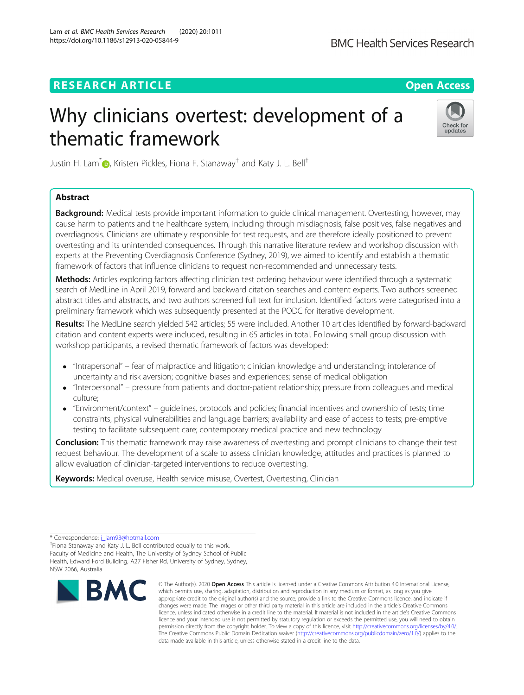## **RESEARCH ARTICLE Example 2014 12:30 The Contract of Contract ACCESS**

# Why clinicians overtest: development of a thematic framework



Justin H. Lam<sup>\*</sup> $\bullet$ [,](http://orcid.org/0000-0001-6076-3999) Kristen Pickles, Fiona F. Stanaway<sup>†</sup> and Katy J. L. Bell<sup>†</sup>

### Abstract

**Background:** Medical tests provide important information to quide clinical management. Overtesting, however, may cause harm to patients and the healthcare system, including through misdiagnosis, false positives, false negatives and overdiagnosis. Clinicians are ultimately responsible for test requests, and are therefore ideally positioned to prevent overtesting and its unintended consequences. Through this narrative literature review and workshop discussion with experts at the Preventing Overdiagnosis Conference (Sydney, 2019), we aimed to identify and establish a thematic framework of factors that influence clinicians to request non-recommended and unnecessary tests.

Methods: Articles exploring factors affecting clinician test ordering behaviour were identified through a systematic search of MedLine in April 2019, forward and backward citation searches and content experts. Two authors screened abstract titles and abstracts, and two authors screened full text for inclusion. Identified factors were categorised into a preliminary framework which was subsequently presented at the PODC for iterative development.

Results: The MedLine search yielded 542 articles; 55 were included. Another 10 articles identified by forward-backward citation and content experts were included, resulting in 65 articles in total. Following small group discussion with workshop participants, a revised thematic framework of factors was developed:

- "Intrapersonal" fear of malpractice and litigation; clinician knowledge and understanding; intolerance of uncertainty and risk aversion; cognitive biases and experiences; sense of medical obligation
- "Interpersonal" pressure from patients and doctor-patient relationship; pressure from colleagues and medical culture;
- "Environment/context" guidelines, protocols and policies; financial incentives and ownership of tests; time constraints, physical vulnerabilities and language barriers; availability and ease of access to tests; pre-emptive testing to facilitate subsequent care; contemporary medical practice and new technology

**Conclusion:** This thematic framework may raise awareness of overtesting and prompt clinicians to change their test request behaviour. The development of a scale to assess clinician knowledge, attitudes and practices is planned to allow evaluation of clinician-targeted interventions to reduce overtesting.

Keywords: Medical overuse, Health service misuse, Overtest, Overtesting, Clinician

<sup>&</sup>lt;sup>+</sup>Fiona Stanaway and Katy J. L. Bell contributed equally to this work. Faculty of Medicine and Health, The University of Sydney School of Public Health, Edward Ford Building, A27 Fisher Rd, University of Sydney, Sydney, NSW 2066, Australia



<sup>©</sup> The Author(s), 2020 **Open Access** This article is licensed under a Creative Commons Attribution 4.0 International License, which permits use, sharing, adaptation, distribution and reproduction in any medium or format, as long as you give appropriate credit to the original author(s) and the source, provide a link to the Creative Commons licence, and indicate if changes were made. The images or other third party material in this article are included in the article's Creative Commons licence, unless indicated otherwise in a credit line to the material. If material is not included in the article's Creative Commons licence and your intended use is not permitted by statutory regulation or exceeds the permitted use, you will need to obtain permission directly from the copyright holder. To view a copy of this licence, visit [http://creativecommons.org/licenses/by/4.0/.](http://creativecommons.org/licenses/by/4.0/) The Creative Commons Public Domain Dedication waiver [\(http://creativecommons.org/publicdomain/zero/1.0/](http://creativecommons.org/publicdomain/zero/1.0/)) applies to the data made available in this article, unless otherwise stated in a credit line to the data.

<sup>\*</sup> Correspondence: [j\\_lam93@hotmail.com](mailto:j_lam93@hotmail.com) †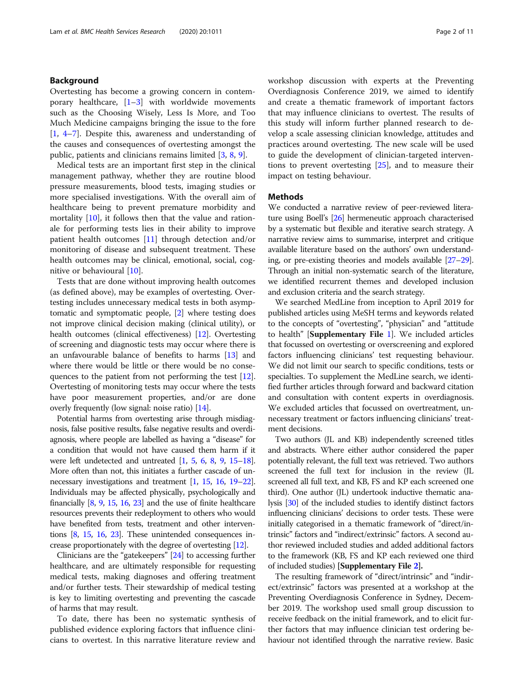#### Background

Overtesting has become a growing concern in contemporary healthcare,  $[1-3]$  $[1-3]$  $[1-3]$  $[1-3]$  with worldwide movements such as the Choosing Wisely, Less Is More, and Too Much Medicine campaigns bringing the issue to the fore [[1,](#page-9-0) [4](#page-9-0)–[7](#page-9-0)]. Despite this, awareness and understanding of the causes and consequences of overtesting amongst the public, patients and clinicians remains limited [\[3,](#page-9-0) [8,](#page-9-0) [9\]](#page-9-0).

Medical tests are an important first step in the clinical management pathway, whether they are routine blood pressure measurements, blood tests, imaging studies or more specialised investigations. With the overall aim of healthcare being to prevent premature morbidity and mortality [[10](#page-9-0)], it follows then that the value and rationale for performing tests lies in their ability to improve patient health outcomes [\[11](#page-9-0)] through detection and/or monitoring of disease and subsequent treatment. These health outcomes may be clinical, emotional, social, cognitive or behavioural [\[10](#page-9-0)].

Tests that are done without improving health outcomes (as defined above), may be examples of overtesting. Overtesting includes unnecessary medical tests in both asymptomatic and symptomatic people, [\[2](#page-9-0)] where testing does not improve clinical decision making (clinical utility), or health outcomes (clinical effectiveness) [[12](#page-9-0)]. Overtesting of screening and diagnostic tests may occur where there is an unfavourable balance of benefits to harms [\[13\]](#page-9-0) and where there would be little or there would be no consequences to the patient from not performing the test [[12](#page-9-0)]. Overtesting of monitoring tests may occur where the tests have poor measurement properties, and/or are done overly frequently (low signal: noise ratio) [[14\]](#page-9-0).

Potential harms from overtesting arise through misdiagnosis, false positive results, false negative results and overdiagnosis, where people are labelled as having a "disease" for a condition that would not have caused them harm if it were left undetected and untreated [\[1](#page-9-0), [5](#page-9-0), [6,](#page-9-0) [8,](#page-9-0) [9,](#page-9-0) [15](#page-9-0)–[18](#page-9-0)]. More often than not, this initiates a further cascade of unnecessary investigations and treatment [\[1,](#page-9-0) [15](#page-9-0), [16,](#page-9-0) [19](#page-9-0)–[22](#page-9-0)]. Individuals may be affected physically, psychologically and financially [\[8](#page-9-0), [9,](#page-9-0) [15,](#page-9-0) [16](#page-9-0), [23\]](#page-9-0) and the use of finite healthcare resources prevents their redeployment to others who would have benefited from tests, treatment and other interventions [\[8,](#page-9-0) [15,](#page-9-0) [16](#page-9-0), [23](#page-9-0)]. These unintended consequences increase proportionately with the degree of overtesting [\[12](#page-9-0)].

Clinicians are the "gatekeepers" [\[24](#page-9-0)] to accessing further healthcare, and are ultimately responsible for requesting medical tests, making diagnoses and offering treatment and/or further tests. Their stewardship of medical testing is key to limiting overtesting and preventing the cascade of harms that may result.

To date, there has been no systematic synthesis of published evidence exploring factors that influence clinicians to overtest. In this narrative literature review and workshop discussion with experts at the Preventing Overdiagnosis Conference 2019, we aimed to identify and create a thematic framework of important factors that may influence clinicians to overtest. The results of this study will inform further planned research to develop a scale assessing clinician knowledge, attitudes and practices around overtesting. The new scale will be used to guide the development of clinician-targeted interventions to prevent overtesting [\[25](#page-9-0)], and to measure their impact on testing behaviour.

#### Methods

We conducted a narrative review of peer-reviewed literature using Boell's [\[26\]](#page-9-0) hermeneutic approach characterised by a systematic but flexible and iterative search strategy. A narrative review aims to summarise, interpret and critique available literature based on the authors' own understanding, or pre-existing theories and models available [\[27](#page-9-0)–[29](#page-9-0)]. Through an initial non-systematic search of the literature, we identified recurrent themes and developed inclusion and exclusion criteria and the search strategy.

We searched MedLine from inception to April 2019 for published articles using MeSH terms and keywords related to the concepts of "overtesting", "physician" and "attitude to health" [Supplementary File [1\]](#page-8-0). We included articles that focussed on overtesting or overscreening and explored factors influencing clinicians' test requesting behaviour. We did not limit our search to specific conditions, tests or specialties. To supplement the MedLine search, we identified further articles through forward and backward citation and consultation with content experts in overdiagnosis. We excluded articles that focussed on overtreatment, unnecessary treatment or factors influencing clinicians' treatment decisions.

Two authors (JL and KB) independently screened titles and abstracts. Where either author considered the paper potentially relevant, the full text was retrieved. Two authors screened the full text for inclusion in the review (JL screened all full text, and KB, FS and KP each screened one third). One author (JL) undertook inductive thematic analysis [\[30\]](#page-9-0) of the included studies to identify distinct factors influencing clinicians' decisions to order tests. These were initially categorised in a thematic framework of "direct/intrinsic" factors and "indirect/extrinsic" factors. A second author reviewed included studies and added additional factors to the framework (KB, FS and KP each reviewed one third of included studies) [Supplementary File [2](#page-8-0)].

The resulting framework of "direct/intrinsic" and "indirect/extrinsic" factors was presented at a workshop at the Preventing Overdiagnosis Conference in Sydney, December 2019. The workshop used small group discussion to receive feedback on the initial framework, and to elicit further factors that may influence clinician test ordering behaviour not identified through the narrative review. Basic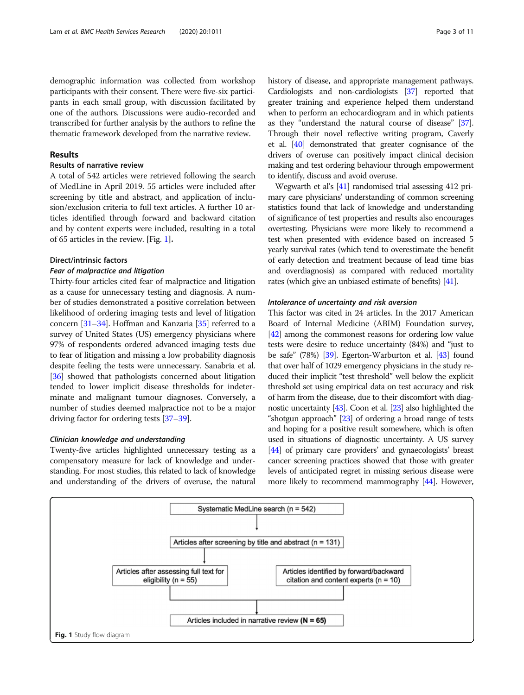demographic information was collected from workshop participants with their consent. There were five-six participants in each small group, with discussion facilitated by one of the authors. Discussions were audio-recorded and transcribed for further analysis by the authors to refine the thematic framework developed from the narrative review.

#### Results

#### Results of narrative review

A total of 542 articles were retrieved following the search of MedLine in April 2019. 55 articles were included after screening by title and abstract, and application of inclusion/exclusion criteria to full text articles. A further 10 articles identified through forward and backward citation and by content experts were included, resulting in a total of 65 articles in the review. [Fig. 1].

#### Direct/intrinsic factors

#### Fear of malpractice and litigation

Thirty-four articles cited fear of malpractice and litigation as a cause for unnecessary testing and diagnosis. A number of studies demonstrated a positive correlation between likelihood of ordering imaging tests and level of litigation concern [[31](#page-9-0)–[34\]](#page-9-0). Hoffman and Kanzaria [\[35\]](#page-9-0) referred to a survey of United States (US) emergency physicians where 97% of respondents ordered advanced imaging tests due to fear of litigation and missing a low probability diagnosis despite feeling the tests were unnecessary. Sanabria et al. [[36](#page-9-0)] showed that pathologists concerned about litigation tended to lower implicit disease thresholds for indeterminate and malignant tumour diagnoses. Conversely, a number of studies deemed malpractice not to be a major driving factor for ordering tests [\[37](#page-9-0)–[39](#page-9-0)].

#### Clinician knowledge and understanding

Twenty-five articles highlighted unnecessary testing as a compensatory measure for lack of knowledge and understanding. For most studies, this related to lack of knowledge and understanding of the drivers of overuse, the natural history of disease, and appropriate management pathways. Cardiologists and non-cardiologists [[37\]](#page-9-0) reported that greater training and experience helped them understand when to perform an echocardiogram and in which patients as they "understand the natural course of disease" [\[37](#page-9-0)]. Through their novel reflective writing program, Caverly et al. [\[40\]](#page-9-0) demonstrated that greater cognisance of the drivers of overuse can positively impact clinical decision making and test ordering behaviour through empowerment to identify, discuss and avoid overuse.

Wegwarth et al's [\[41\]](#page-9-0) randomised trial assessing 412 primary care physicians' understanding of common screening statistics found that lack of knowledge and understanding of significance of test properties and results also encourages overtesting. Physicians were more likely to recommend a test when presented with evidence based on increased 5 yearly survival rates (which tend to overestimate the benefit of early detection and treatment because of lead time bias and overdiagnosis) as compared with reduced mortality rates (which give an unbiased estimate of benefits) [[41](#page-9-0)].

#### Intolerance of uncertainty and risk aversion

This factor was cited in 24 articles. In the 2017 American Board of Internal Medicine (ABIM) Foundation survey, [[42](#page-9-0)] among the commonest reasons for ordering low value tests were desire to reduce uncertainty (84%) and "just to be safe" (78%) [\[39](#page-9-0)]. Egerton-Warburton et al. [[43](#page-9-0)] found that over half of 1029 emergency physicians in the study reduced their implicit "test threshold" well below the explicit threshold set using empirical data on test accuracy and risk of harm from the disease, due to their discomfort with diagnostic uncertainty [[43](#page-9-0)]. Coon et al. [[23\]](#page-9-0) also highlighted the "shotgun approach" [[23](#page-9-0)] of ordering a broad range of tests and hoping for a positive result somewhere, which is often used in situations of diagnostic uncertainty. A US survey [[44](#page-9-0)] of primary care providers' and gynaecologists' breast cancer screening practices showed that those with greater levels of anticipated regret in missing serious disease were more likely to recommend mammography [\[44](#page-9-0)]. However,

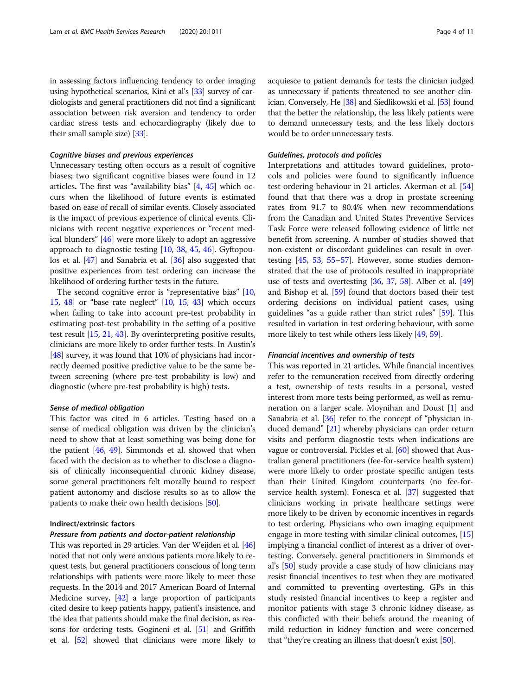#### Cognitive biases and previous experiences

Unnecessary testing often occurs as a result of cognitive biases; two significant cognitive biases were found in 12 articles. The first was "availability bias" [\[4,](#page-9-0) [45](#page-10-0)] which occurs when the likelihood of future events is estimated based on ease of recall of similar events. Closely associated is the impact of previous experience of clinical events. Clinicians with recent negative experiences or "recent medical blunders" [\[46\]](#page-10-0) were more likely to adopt an aggressive approach to diagnostic testing [[10](#page-9-0), [38](#page-9-0), [45,](#page-10-0) [46\]](#page-10-0). Gyftopoulos et al. [\[47\]](#page-10-0) and Sanabria et al. [\[36\]](#page-9-0) also suggested that positive experiences from test ordering can increase the likelihood of ordering further tests in the future.

The second cognitive error is "representative bias" [[10](#page-9-0), [15](#page-9-0), [48](#page-10-0)] or "base rate neglect" [[10](#page-9-0), [15,](#page-9-0) [43\]](#page-9-0) which occurs when failing to take into account pre-test probability in estimating post-test probability in the setting of a positive test result [\[15,](#page-9-0) [21](#page-9-0), [43\]](#page-9-0). By overinterpreting positive results, clinicians are more likely to order further tests. In Austin's [[48](#page-10-0)] survey, it was found that 10% of physicians had incorrectly deemed positive predictive value to be the same between screening (where pre-test probability is low) and diagnostic (where pre-test probability is high) tests.

#### Sense of medical obligation

This factor was cited in 6 articles. Testing based on a sense of medical obligation was driven by the clinician's need to show that at least something was being done for the patient [\[46](#page-10-0), [49\]](#page-10-0). Simmonds et al. showed that when faced with the decision as to whether to disclose a diagnosis of clinically inconsequential chronic kidney disease, some general practitioners felt morally bound to respect patient autonomy and disclose results so as to allow the patients to make their own health decisions [\[50\]](#page-10-0).

#### Indirect/extrinsic factors

#### Pressure from patients and doctor-patient relationship

This was reported in 29 articles. Van der Weijden et al. [\[46](#page-10-0)] noted that not only were anxious patients more likely to request tests, but general practitioners conscious of long term relationships with patients were more likely to meet these requests. In the 2014 and 2017 American Board of Internal Medicine survey, [\[42\]](#page-9-0) a large proportion of participants cited desire to keep patients happy, patient's insistence, and the idea that patients should make the final decision, as reasons for ordering tests. Gogineni et al. [\[51\]](#page-10-0) and Griffith et al. [\[52\]](#page-10-0) showed that clinicians were more likely to acquiesce to patient demands for tests the clinician judged as unnecessary if patients threatened to see another clinician. Conversely, He [[38](#page-9-0)] and Siedlikowski et al. [\[53\]](#page-10-0) found that the better the relationship, the less likely patients were to demand unnecessary tests, and the less likely doctors would be to order unnecessary tests.

#### Guidelines, protocols and policies

Interpretations and attitudes toward guidelines, protocols and policies were found to significantly influence test ordering behaviour in 21 articles. Akerman et al. [[54](#page-10-0)] found that that there was a drop in prostate screening rates from 91.7 to 80.4% when new recommendations from the Canadian and United States Preventive Services Task Force were released following evidence of little net benefit from screening. A number of studies showed that non-existent or discordant guidelines can result in overtesting [\[45,](#page-10-0) [53,](#page-10-0) [55](#page-10-0)–[57\]](#page-10-0). However, some studies demonstrated that the use of protocols resulted in inappropriate use of tests and overtesting [[36](#page-9-0), [37,](#page-9-0) [58](#page-10-0)]. Alber et al. [[49](#page-10-0)] and Bishop et al. [\[59\]](#page-10-0) found that doctors based their test ordering decisions on individual patient cases, using guidelines "as a guide rather than strict rules" [[59\]](#page-10-0). This resulted in variation in test ordering behaviour, with some more likely to test while others less likely [\[49,](#page-10-0) [59](#page-10-0)].

#### Financial incentives and ownership of tests

This was reported in 21 articles. While financial incentives refer to the remuneration received from directly ordering a test, ownership of tests results in a personal, vested interest from more tests being performed, as well as remuneration on a larger scale. Moynihan and Doust [[1\]](#page-9-0) and Sanabria et al. [\[36\]](#page-9-0) refer to the concept of "physician induced demand" [\[21\]](#page-9-0) whereby physicians can order return visits and perform diagnostic tests when indications are vague or controversial. Pickles et al. [[60](#page-10-0)] showed that Australian general practitioners (fee-for-service health system) were more likely to order prostate specific antigen tests than their United Kingdom counterparts (no fee-forservice health system). Fonesca et al. [[37](#page-9-0)] suggested that clinicians working in private healthcare settings were more likely to be driven by economic incentives in regards to test ordering. Physicians who own imaging equipment engage in more testing with similar clinical outcomes, [[15](#page-9-0)] implying a financial conflict of interest as a driver of overtesting. Conversely, general practitioners in Simmonds et al's [\[50](#page-10-0)] study provide a case study of how clinicians may resist financial incentives to test when they are motivated and committed to preventing overtesting. GPs in this study resisted financial incentives to keep a register and monitor patients with stage 3 chronic kidney disease, as this conflicted with their beliefs around the meaning of mild reduction in kidney function and were concerned that "they're creating an illness that doesn't exist [\[50\]](#page-10-0).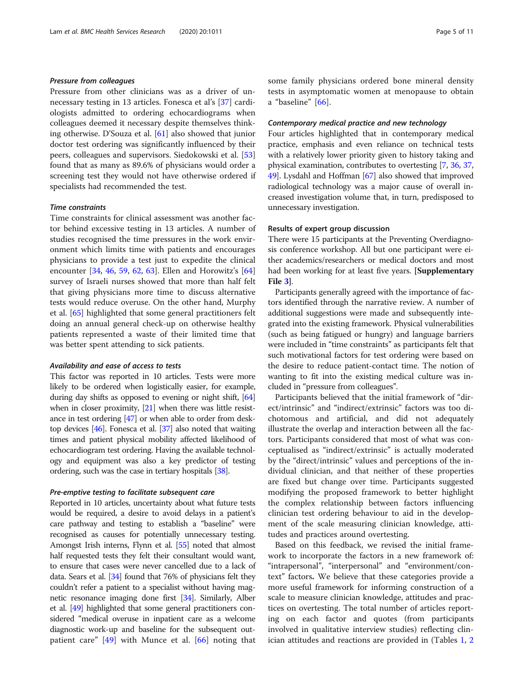#### Pressure from colleagues

Pressure from other clinicians was as a driver of unnecessary testing in 13 articles. Fonesca et al's [[37\]](#page-9-0) cardiologists admitted to ordering echocardiograms when colleagues deemed it necessary despite themselves thinking otherwise. D'Souza et al. [[61](#page-10-0)] also showed that junior doctor test ordering was significantly influenced by their peers, colleagues and supervisors. Siedokowski et al. [[53](#page-10-0)] found that as many as 89.6% of physicians would order a screening test they would not have otherwise ordered if specialists had recommended the test.

#### Time constraints

Time constraints for clinical assessment was another factor behind excessive testing in 13 articles. A number of studies recognised the time pressures in the work environment which limits time with patients and encourages physicians to provide a test just to expedite the clinical encounter [[34](#page-9-0), [46,](#page-10-0) [59](#page-10-0), [62](#page-10-0), [63\]](#page-10-0). Ellen and Horowitz's [[64](#page-10-0)] survey of Israeli nurses showed that more than half felt that giving physicians more time to discuss alternative tests would reduce overuse. On the other hand, Murphy et al. [\[65](#page-10-0)] highlighted that some general practitioners felt doing an annual general check-up on otherwise healthy patients represented a waste of their limited time that was better spent attending to sick patients.

#### Availability and ease of access to tests

This factor was reported in 10 articles. Tests were more likely to be ordered when logistically easier, for example, during day shifts as opposed to evening or night shift, [\[64](#page-10-0)] when in closer proximity, [[21](#page-9-0)] when there was little resistance in test ordering [[47](#page-10-0)] or when able to order from desktop devices [\[46](#page-10-0)]. Fonesca et al. [\[37](#page-9-0)] also noted that waiting times and patient physical mobility affected likelihood of echocardiogram test ordering. Having the available technology and equipment was also a key predictor of testing ordering, such was the case in tertiary hospitals [\[38](#page-9-0)].

#### Pre-emptive testing to facilitate subsequent care

Reported in 10 articles, uncertainty about what future tests would be required, a desire to avoid delays in a patient's care pathway and testing to establish a "baseline" were recognised as causes for potentially unnecessary testing. Amongst Irish interns, Flynn et al. [[55](#page-10-0)] noted that almost half requested tests they felt their consultant would want, to ensure that cases were never cancelled due to a lack of data. Sears et al. [\[34\]](#page-9-0) found that 76% of physicians felt they couldn't refer a patient to a specialist without having magnetic resonance imaging done first [\[34\]](#page-9-0). Similarly, Alber et al. [\[49\]](#page-10-0) highlighted that some general practitioners considered "medical overuse in inpatient care as a welcome diagnostic work-up and baseline for the subsequent outpatient care" [\[49](#page-10-0)] with Munce et al. [\[66](#page-10-0)] noting that some family physicians ordered bone mineral density tests in asymptomatic women at menopause to obtain a "baseline" [[66\]](#page-10-0).

#### Contemporary medical practice and new technology

Four articles highlighted that in contemporary medical practice, emphasis and even reliance on technical tests with a relatively lower priority given to history taking and physical examination, contributes to overtesting [[7](#page-9-0), [36,](#page-9-0) [37](#page-9-0), [49](#page-10-0)]. Lysdahl and Hoffman [\[67\]](#page-10-0) also showed that improved radiological technology was a major cause of overall increased investigation volume that, in turn, predisposed to unnecessary investigation.

#### Results of expert group discussion

There were 15 participants at the Preventing Overdiagnosis conference workshop. All but one participant were either academics/researchers or medical doctors and most had been working for at least five years. [Supplementary File [3](#page-8-0)].

Participants generally agreed with the importance of factors identified through the narrative review. A number of additional suggestions were made and subsequently integrated into the existing framework. Physical vulnerabilities (such as being fatigued or hungry) and language barriers were included in "time constraints" as participants felt that such motivational factors for test ordering were based on the desire to reduce patient-contact time. The notion of wanting to fit into the existing medical culture was included in "pressure from colleagues".

Participants believed that the initial framework of "direct/intrinsic" and "indirect/extrinsic" factors was too dichotomous and artificial, and did not adequately illustrate the overlap and interaction between all the factors. Participants considered that most of what was conceptualised as "indirect/extrinsic" is actually moderated by the "direct/intrinsic" values and perceptions of the individual clinician, and that neither of these properties are fixed but change over time. Participants suggested modifying the proposed framework to better highlight the complex relationship between factors influencing clinician test ordering behaviour to aid in the development of the scale measuring clinician knowledge, attitudes and practices around overtesting.

Based on this feedback, we revised the initial framework to incorporate the factors in a new framework of: "intrapersonal", "interpersonal" and "environment/context" factors. We believe that these categories provide a more useful framework for informing construction of a scale to measure clinician knowledge, attitudes and practices on overtesting. The total number of articles reporting on each factor and quotes (from participants involved in qualitative interview studies) reflecting clinician attitudes and reactions are provided in (Tables [1](#page-5-0), [2](#page-6-0)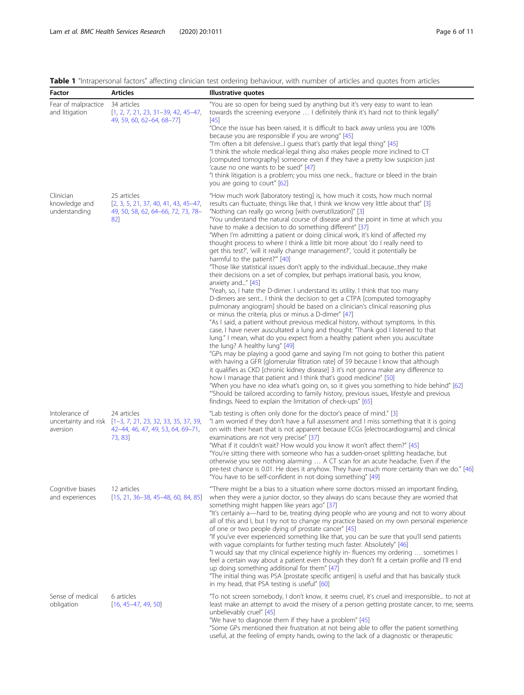<span id="page-5-0"></span>

|  | Table 1 "Intrapersonal factors" affecting clinician test ordering behaviour, with number of articles and quotes from articles |
|--|-------------------------------------------------------------------------------------------------------------------------------|

| Factor                                      | <b>Articles</b>                                                                                                           | Illustrative quotes                                                                                                                                                                                                                                                                                                                                                                                                                                                                                                                                                                                                                                                                                                                                                                                                                                                                                                                                                                                                                                                                                                                                                                                                                                                                                                                                                                                                                                                                                                                                                                                                                                                                                                                                                                                                                                                                                                                                                                                                                                  |
|---------------------------------------------|---------------------------------------------------------------------------------------------------------------------------|------------------------------------------------------------------------------------------------------------------------------------------------------------------------------------------------------------------------------------------------------------------------------------------------------------------------------------------------------------------------------------------------------------------------------------------------------------------------------------------------------------------------------------------------------------------------------------------------------------------------------------------------------------------------------------------------------------------------------------------------------------------------------------------------------------------------------------------------------------------------------------------------------------------------------------------------------------------------------------------------------------------------------------------------------------------------------------------------------------------------------------------------------------------------------------------------------------------------------------------------------------------------------------------------------------------------------------------------------------------------------------------------------------------------------------------------------------------------------------------------------------------------------------------------------------------------------------------------------------------------------------------------------------------------------------------------------------------------------------------------------------------------------------------------------------------------------------------------------------------------------------------------------------------------------------------------------------------------------------------------------------------------------------------------------|
| Fear of malpractice<br>and litigation       | 34 articles<br>$[1, 2, 7, 21, 23, 31-39, 42, 45-47,$<br>49, 59, 60, 62-64, 68-77]                                         | "You are so open for being sued by anything but it's very easy to want to lean<br>towards the screening everyone  I definitely think it's hard not to think legally"<br>[45]<br>"Once the issue has been raised, it is difficult to back away unless you are 100%<br>because you are responsible if you are wrong" [45]<br>"I'm often a bit defensiveI guess that's partly that legal thing" [45]<br>"I think the whole medical-legal thing also makes people more inclined to CT<br>[computed tomography] someone even if they have a pretty low suspicion just<br>'cause no one wants to be sued" [47]<br>"I think litigation is a problem; you miss one neck fracture or bleed in the brain<br>you are going to court" [62]                                                                                                                                                                                                                                                                                                                                                                                                                                                                                                                                                                                                                                                                                                                                                                                                                                                                                                                                                                                                                                                                                                                                                                                                                                                                                                                       |
| Clinician<br>knowledge and<br>understanding | 25 articles<br>$[2, 3, 5, 21, 37, 40, 41, 43, 45-47,$<br>49, 50, 58, 62, 64-66, 72, 73, 78-<br>82]                        | "How much work [laboratory testing] is, how much it costs, how much normal<br>results can fluctuate, things like that, I think we know very little about that" [3]<br>"Nothing can really go wrong [with overutilization]" [3]<br>"You understand the natural course of disease and the point in time at which you<br>have to make a decision to do something different" [37]<br>"When I'm admitting a patient or doing clinical work, it's kind of affected my<br>thought process to where I think a little bit more about 'do I really need to<br>get this test?', 'will it really change management?', 'could it potentially be<br>harmful to the patient?" [40]<br>"Those like statistical issues don't apply to the individualbecausethey make<br>their decisions on a set of complex, but perhaps irrational basis, you know,<br>anxiety and" [45]<br>"Yeah, so, I hate the D-dimer. I understand its utility. I think that too many<br>D-dimers are sent I think the decision to get a CTPA [computed tomography<br>pulmonary angiogram] should be based on a clinician's clinical reasoning plus<br>or minus the criteria, plus or minus a D-dimer" [47]<br>"As I said, a patient without previous medical history, without symptoms. In this<br>case, I have never auscultated a lung and thought: "Thank god I listened to that<br>lung." I mean, what do you expect from a healthy patient when you auscultate<br>the lung? A healthy lung" [49]<br>"GPs may be playing a good game and saying I'm not going to bother this patient<br>with having a GFR [glomerular filtration rate] of 59 because I know that although<br>it qualifies as CKD [chronic kidney disease] 3 it's not gonna make any difference to<br>how I manage that patient and I think that's good medicine" [50]<br>"When you have no idea what's going on, so it gives you something to hide behind" [62]<br>"Should be tailored according to family history, previous issues, lifestyle and previous<br>findings. Need to explain the limitation of check-ups" [65] |
| Intolerance of<br>aversion                  | 24 articles<br>uncertainty and risk $[1-3, 7, 21, 23, 32, 33, 35, 37, 39,$<br>42-44, 46, 47, 49, 53, 64, 69-71,<br>73, 83 | "Lab testing is often only done for the doctor's peace of mind." [3]<br>"I am worried if they don't have a full assessment and I miss something that it is going<br>on with their heart that is not apparent because ECGs [electrocardiograms] and clinical<br>examinations are not very precise" [37]<br>"What if it couldn't wait? How would you know it won't affect them?" [45]<br>"You're sitting there with someone who has a sudden-onset splitting headache, but<br>otherwise you see nothing alarming  A CT scan for an acute headache. Even if the<br>pre-test chance is 0.01. He does it anyhow. They have much more certainty than we do." [46]<br>"You have to be self-confident in not doing something" [49]                                                                                                                                                                                                                                                                                                                                                                                                                                                                                                                                                                                                                                                                                                                                                                                                                                                                                                                                                                                                                                                                                                                                                                                                                                                                                                                           |
| Cognitive biases<br>and experiences         | 12 articles<br>$[15, 21, 36-38, 45-48, 60, 84, 85]$                                                                       | "There might be a bias to a situation where some doctors missed an important finding,<br>when they were a junior doctor, so they always do scans because they are worried that<br>something might happen like years ago" [37]<br>"It's certainly a—hard to be, treating dying people who are young and not to worry about<br>all of this and I, but I try not to change my practice based on my own personal experience<br>of one or two people dying of prostate cancer" [45]<br>"If you've ever experienced something like that, you can be sure that you'll send patients<br>with vague complaints for further testing much faster. Absolutely" [46]<br>"I would say that my clinical experience highly in- fluences my ordering  sometimes I<br>feel a certain way about a patient even though they don't fit a certain profile and I'll end<br>up doing something additional for them" [47]<br>"The initial thing was PSA [prostate specific antigen] is useful and that has basically stuck<br>in my head, that PSA testing is useful" [60]                                                                                                                                                                                                                                                                                                                                                                                                                                                                                                                                                                                                                                                                                                                                                                                                                                                                                                                                                                                                    |
| Sense of medical<br>obligation              | 6 articles<br>$[16, 45-47, 49, 50]$                                                                                       | "To not screen somebody, I don't know, it seems cruel, it's cruel and irresponsible to not at<br>least make an attempt to avoid the misery of a person getting prostate cancer, to me, seems<br>unbelievably cruel" [45]<br>"We have to diagnose them if they have a problem" [45]<br>"Some GPs mentioned their frustration at not being able to offer the patient something<br>useful, at the feeling of empty hands, owing to the lack of a diagnostic or therapeutic                                                                                                                                                                                                                                                                                                                                                                                                                                                                                                                                                                                                                                                                                                                                                                                                                                                                                                                                                                                                                                                                                                                                                                                                                                                                                                                                                                                                                                                                                                                                                                              |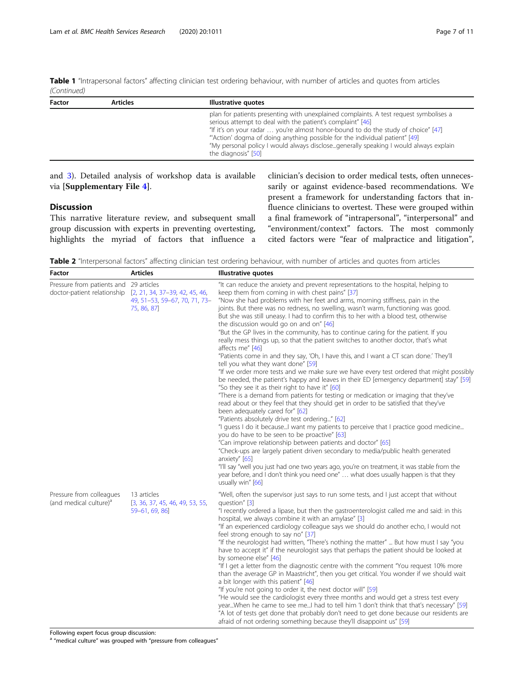<span id="page-6-0"></span>

|             | Table 1 "Intrapersonal factors" affecting clinician test ordering behaviour, with number of articles and quotes from articles |  |  |  |  |  |  |  |
|-------------|-------------------------------------------------------------------------------------------------------------------------------|--|--|--|--|--|--|--|
| (Continued) |                                                                                                                               |  |  |  |  |  |  |  |

| Factor | <b>Articles</b> | Illustrative quotes                                                                                                                                                                                                                                                                                                                                                                                                                   |
|--------|-----------------|---------------------------------------------------------------------------------------------------------------------------------------------------------------------------------------------------------------------------------------------------------------------------------------------------------------------------------------------------------------------------------------------------------------------------------------|
|        |                 | plan for patients presenting with unexplained complaints. A test request symbolises a<br>serious attempt to deal with the patient's complaint" [46]<br>"If it's on your radar  you're almost honor-bound to do the study of choice" [47]<br>"Action' dogma of doing anything possible for the individual patient" [49]<br>"My personal policy I would always disclosegenerally speaking I would always explain<br>the diagnosis" [50] |
|        |                 |                                                                                                                                                                                                                                                                                                                                                                                                                                       |

and [3](#page-7-0)). Detailed analysis of workshop data is available via [Supplementary File [4\]](#page-8-0).

#### **Discussion**

This narrative literature review, and subsequent small group discussion with experts in preventing overtesting, highlights the myriad of factors that influence a clinician's decision to order medical tests, often unnecessarily or against evidence-based recommendations. We present a framework for understanding factors that influence clinicians to overtest. These were grouped within a final framework of "intrapersonal", "interpersonal" and "environment/context" factors. The most commonly cited factors were "fear of malpractice and litigation",

Table 2 "Interpersonal factors" affecting clinician test ordering behaviour, with number of articles and quotes from articles

| <b>Factor</b>                                                  | <b>Articles</b>                                                                                           | <b>Illustrative quotes</b>                                                                                                                                                                                                                                                                                                                                                                                                                                                                                                                                                                                                                                                                                                                                                                                                                                                                                                                                                                                                                                                                                                                                                                                                                                                                                                                                                                                                                                                                                                                                                                                                                                                                                                                                                                                   |  |  |  |  |
|----------------------------------------------------------------|-----------------------------------------------------------------------------------------------------------|--------------------------------------------------------------------------------------------------------------------------------------------------------------------------------------------------------------------------------------------------------------------------------------------------------------------------------------------------------------------------------------------------------------------------------------------------------------------------------------------------------------------------------------------------------------------------------------------------------------------------------------------------------------------------------------------------------------------------------------------------------------------------------------------------------------------------------------------------------------------------------------------------------------------------------------------------------------------------------------------------------------------------------------------------------------------------------------------------------------------------------------------------------------------------------------------------------------------------------------------------------------------------------------------------------------------------------------------------------------------------------------------------------------------------------------------------------------------------------------------------------------------------------------------------------------------------------------------------------------------------------------------------------------------------------------------------------------------------------------------------------------------------------------------------------------|--|--|--|--|
| Pressure from patients and 29 articles                         | doctor-patient relationship [2, 21, 34, 37-39, 42, 45, 46,<br>49, 51-53, 59-67, 70, 71, 73-<br>75, 86, 87 | "It can reduce the anxiety and prevent representations to the hospital, helping to<br>keep them from coming in with chest pains" [37]<br>"Now she had problems with her feet and arms, morning stiffness, pain in the<br>joints. But there was no redness, no swelling, wasn't warm, functioning was good.<br>But she was still uneasy. I had to confirm this to her with a blood test, otherwise<br>the discussion would go on and on" [46]<br>"But the GP lives in the community, has to continue caring for the patient. If you<br>really mess things up, so that the patient switches to another doctor, that's what<br>affects me" [46]<br>"Patients come in and they say, 'Oh, I have this, and I want a CT scan done.' They'll<br>tell you what they want done" [59]<br>"If we order more tests and we make sure we have every test ordered that might possibly<br>be needed, the patient's happy and leaves in their ED [emergency department] stay" [59]<br>"So they see it as their right to have it" [60]<br>"There is a demand from patients for testing or medication or imaging that they've<br>read about or they feel that they should get in order to be satisfied that they've<br>been adequately cared for" [62]<br>"Patients absolutely drive test ordering" [62]<br>"I quess I do it becauseI want my patients to perceive that I practice good medicine<br>you do have to be seen to be proactive" [63]<br>"Can improve relationship between patients and doctor" [65]<br>"Check-ups are largely patient driven secondary to media/public health generated<br>anxiety" [65]<br>"I'll say "well you just had one two years ago, you're on treatment, it was stable from the<br>year before, and I don't think you need one"  what does usually happen is that they<br>usually win" [66] |  |  |  |  |
| Pressure from colleagues<br>(and medical culture) <sup>a</sup> | 13 articles<br>[3, 36, 37, 45, 46, 49, 53, 55,<br>59-61, 69, 86]                                          | "Well, often the supervisor just says to run some tests, and I just accept that without<br>question" [3]<br>"I recently ordered a lipase, but then the gastroenterologist called me and said: in this<br>hospital, we always combine it with an amylase" [3]<br>"If an experienced cardiology colleague says we should do another echo, I would not<br>feel strong enough to say no" [37]<br>"If the neurologist had written, "There's nothing the matter"  But how must I say "you<br>have to accept it" if the neurologist says that perhaps the patient should be looked at<br>by someone else" [46]<br>"If I get a letter from the diagnostic centre with the comment "You request 10% more<br>than the average GP in Maastricht", then you get critical. You wonder if we should wait<br>a bit longer with this patient" [46]<br>"If you're not going to order it, the next doctor will" [59]<br>"He would see the cardiologist every three months and would get a stress test every<br>yearWhen he came to see meI had to tell him 'I don't think that that's necessary" [59]<br>"A lot of tests get done that probably don't need to get done because our residents are<br>afraid of not ordering something because they'll disappoint us" [59]                                                                                                                                                                                                                                                                                                                                                                                                                                                                                                                                                       |  |  |  |  |

Following expert focus group discussion:

a "medical culture" was grouped with "pressure from colleagues"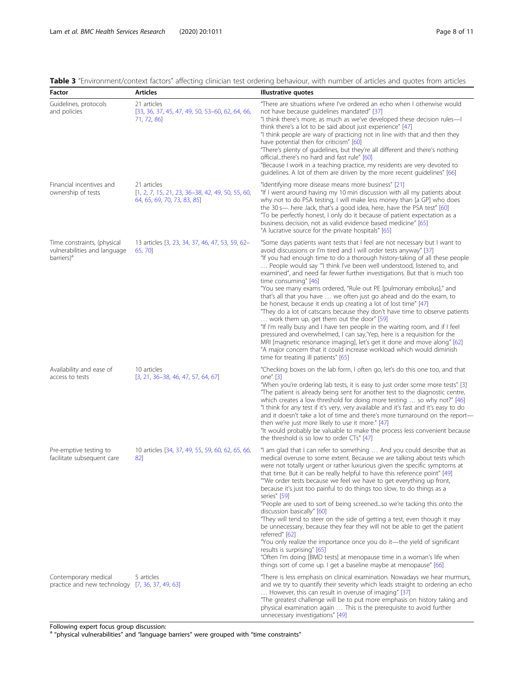| Factor                                                                                | <b>Articles</b>                                                                                  | <b>Illustrative quotes</b>                                                                                                                                                                                                                                                                                                                                                                                                                                                                                                                                                                                                                                                                                                                                                                                                                                                                                                                                                                                                                                                                                            |
|---------------------------------------------------------------------------------------|--------------------------------------------------------------------------------------------------|-----------------------------------------------------------------------------------------------------------------------------------------------------------------------------------------------------------------------------------------------------------------------------------------------------------------------------------------------------------------------------------------------------------------------------------------------------------------------------------------------------------------------------------------------------------------------------------------------------------------------------------------------------------------------------------------------------------------------------------------------------------------------------------------------------------------------------------------------------------------------------------------------------------------------------------------------------------------------------------------------------------------------------------------------------------------------------------------------------------------------|
| Guidelines, protocols<br>and policies                                                 | 21 articles<br>[33, 36, 37, 45, 47, 49, 50, 53-60, 62, 64, 66,<br>71, 72, 86]                    | "There are situations where I've ordered an echo when I otherwise would<br>not have because guidelines mandated" [37]<br>"I think there's more, as much as we've developed these decision rules-I<br>think there's a lot to be said about just experience" [47]<br>"I think people are wary of practicing not in line with that and then they<br>have potential then for criticism" [60]<br>"There's plenty of guidelines, but they're all different and there's nothing<br>officialthere's no hard and fast rule" [60]<br>"Because I work in a teaching practice, my residents are very devoted to<br>guidelines. A lot of them are driven by the more recent guidelines" [66]                                                                                                                                                                                                                                                                                                                                                                                                                                       |
| Financial incentives and<br>ownership of tests                                        | 21 articles<br>$[1, 2, 7, 15, 21, 23, 36-38, 42, 49, 50, 55, 60,$<br>64, 65, 69, 70, 73, 83, 85] | "Identifying more disease means more business" [21]<br>"If I went around having my 10 min discussion with all my patients about<br>why not to do PSA testing, I will make less money than [a GP] who does<br>the 30 s— here Jack, that's a good idea, here, have the PSA test" [60]<br>"To be perfectly honest, I only do it because of patient expectation as a<br>business decision, not as valid evidence based medicine" [65]<br>"A lucrative source for the private hospitals" [65]                                                                                                                                                                                                                                                                                                                                                                                                                                                                                                                                                                                                                              |
| Time constraints, (physical<br>vulnerabilities and language<br>barriers) <sup>a</sup> | 13 articles [3, 23, 34, 37, 46, 47, 53, 59, 62-<br>65, 70]                                       | "Some days patients want tests that I feel are not necessary but I want to<br>avoid discussions or I'm tired and I will order tests anyway" [37]<br>"If you had enough time to do a thorough history-taking of all these people<br>People would say "I think I've been well understood, listened to, and<br>examined", and need far fewer further investigations. But that is much too<br>time consuming" [46]<br>"You see many exams ordered, "Rule out PE [pulmonary embolus]," and<br>that's all that you have  we often just go ahead and do the exam, to<br>be honest, because it ends up creating a lot of lost time" [47]<br>"They do a lot of catscans because they don't have time to observe patients<br>work them up, get them out the door" [59]<br>"If I'm really busy and I have ten people in the waiting room, and if I feel<br>pressured and overwhelmed, I can say,'Yep, here is a requisition for the<br>MRI [magnetic resonance imaging], let's get it done and move along" [62]<br>"A major concern that it could increase workload which would diminish<br>time for treating ill patients" [65] |
| Availability and ease of<br>access to tests                                           | 10 articles<br>$[3, 21, 36-38, 46, 47, 57, 64, 67]$                                              | "Checking boxes on the lab form, I often go, let's do this one too, and that<br>one" $[3]$<br>"When you're ordering lab tests, it is easy to just order some more tests" [3]<br>"The patient is already being sent for another test to the diagnostic centre,<br>which creates a low threshold for doing more testing $\ldots$ so why not?" [46]<br>"I think for any test if it's very, very available and it's fast and it's easy to do<br>and it doesn't take a lot of time and there's more turnaround on the report-<br>then we're just more likely to use it more." [47]<br>"It would probably be valuable to make the process less convenient because<br>the threshold is so low to order CTs" [47]                                                                                                                                                                                                                                                                                                                                                                                                             |
| Pre-emptive testing to<br>facilitate subsequent care                                  | 10 articles [34, 37, 49, 55, 59, 60, 62, 65, 66,<br>82]                                          | "I am glad that I can refer to something  And you could describe that as<br>medical overuse to some extent. Because we are talking about tests which<br>were not totally urgent or rather luxurious given the specific symptoms at<br>that time. But it can be really helpful to have this reference point" [49]<br>""We order tests because we feel we have to get everything up front,<br>because it's just too painful to do things too slow, to do things as a<br>series" [59]<br>"People are used to sort of being screenedso we're tacking this onto the<br>discussion basically" [60]<br>"They will tend to steer on the side of getting a test, even though it may<br>be unnecessary, because they fear they will not be able to get the patient<br>referred" [62]<br>"You only realize the importance once you do it-the yield of significant<br>results is surprising" [65]<br>"Often I'm doing [BMD tests] at menopause time in a woman's life when<br>things sort of come up. I get a baseline maybe at menopause" [66]                                                                                   |
| Contemporary medical<br>practice and new technology $[7, 36, 37, 49, 63]$             | 5 articles                                                                                       | "There is less emphasis on clinical examination. Nowadays we hear murmurs,<br>and we try to quantify their severity which leads straight to ordering an echo<br>However, this can result in overuse of imaging" [37]<br>"The greatest challenge will be to put more emphasis on history taking and<br>physical examination again  This is the prerequisite to avoid further<br>unnecessary investigations" [49]                                                                                                                                                                                                                                                                                                                                                                                                                                                                                                                                                                                                                                                                                                       |

#### <span id="page-7-0"></span>Table 3 "Environment/context factors" affecting clinician test ordering behaviour, with number of articles and quotes from articles

Following expert focus group discussion:<br><sup>a</sup> "physical vulnerabilities" and "language barriers" were grouped with "time constraints"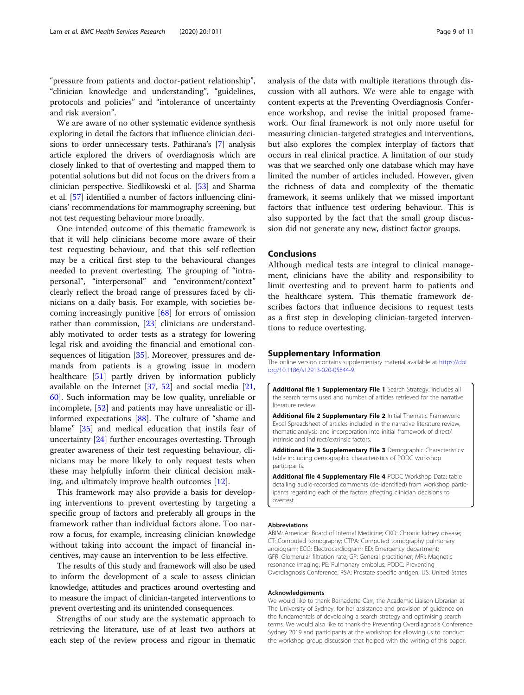<span id="page-8-0"></span>"pressure from patients and doctor-patient relationship", "clinician knowledge and understanding", "guidelines, protocols and policies" and "intolerance of uncertainty and risk aversion".

We are aware of no other systematic evidence synthesis exploring in detail the factors that influence clinician decisions to order unnecessary tests. Pathirana's [[7](#page-9-0)] analysis article explored the drivers of overdiagnosis which are closely linked to that of overtesting and mapped them to potential solutions but did not focus on the drivers from a clinician perspective. Siedlikowski et al. [[53](#page-10-0)] and Sharma et al. [\[57](#page-10-0)] identified a number of factors influencing clinicians' recommendations for mammography screening, but not test requesting behaviour more broadly.

One intended outcome of this thematic framework is that it will help clinicians become more aware of their test requesting behaviour, and that this self-reflection may be a critical first step to the behavioural changes needed to prevent overtesting. The grouping of "intrapersonal", "interpersonal" and "environment/context" clearly reflect the broad range of pressures faced by clinicians on a daily basis. For example, with societies becoming increasingly punitive [[68](#page-10-0)] for errors of omission rather than commission, [[23\]](#page-9-0) clinicians are understandably motivated to order tests as a strategy for lowering legal risk and avoiding the financial and emotional consequences of litigation [[35](#page-9-0)]. Moreover, pressures and demands from patients is a growing issue in modern healthcare [[51\]](#page-10-0) partly driven by information publicly available on the Internet  $[37, 52]$  $[37, 52]$  $[37, 52]$  $[37, 52]$  and social media  $[21, 22]$  $[21, 22]$  $[21, 22]$ [60\]](#page-10-0). Such information may be low quality, unreliable or incomplete, [[52](#page-10-0)] and patients may have unrealistic or illinformed expectations [[88](#page-10-0)]. The culture of "shame and blame" [\[35\]](#page-9-0) and medical education that instils fear of uncertainty [\[24\]](#page-9-0) further encourages overtesting. Through greater awareness of their test requesting behaviour, clinicians may be more likely to only request tests when these may helpfully inform their clinical decision making, and ultimately improve health outcomes [\[12](#page-9-0)].

This framework may also provide a basis for developing interventions to prevent overtesting by targeting a specific group of factors and preferably all groups in the framework rather than individual factors alone. Too narrow a focus, for example, increasing clinician knowledge without taking into account the impact of financial incentives, may cause an intervention to be less effective.

The results of this study and framework will also be used to inform the development of a scale to assess clinician knowledge, attitudes and practices around overtesting and to measure the impact of clinician-targeted interventions to prevent overtesting and its unintended consequences.

Strengths of our study are the systematic approach to retrieving the literature, use of at least two authors at each step of the review process and rigour in thematic analysis of the data with multiple iterations through discussion with all authors. We were able to engage with content experts at the Preventing Overdiagnosis Conference workshop, and revise the initial proposed framework. Our final framework is not only more useful for measuring clinician-targeted strategies and interventions, but also explores the complex interplay of factors that occurs in real clinical practice. A limitation of our study was that we searched only one database which may have limited the number of articles included. However, given the richness of data and complexity of the thematic framework, it seems unlikely that we missed important factors that influence test ordering behaviour. This is also supported by the fact that the small group discussion did not generate any new, distinct factor groups.

#### Conclusions

Although medical tests are integral to clinical management, clinicians have the ability and responsibility to limit overtesting and to prevent harm to patients and the healthcare system. This thematic framework describes factors that influence decisions to request tests as a first step in developing clinician-targeted interventions to reduce overtesting.

#### Supplementary Information

The online version contains supplementary material available at [https://doi.](https://doi.org/10.1186/s12913-020-05844-9) [org/10.1186/s12913-020-05844-9.](https://doi.org/10.1186/s12913-020-05844-9)

Additional file 1 Supplementary File 1 Search Strategy: includes all the search terms used and number of articles retrieved for the narrative literature review.

Additional file 2 Supplementary File 2 Initial Thematic Framework: Excel Spreadsheet of articles included in the narrative literature review, thematic analysis and incorporation into initial framework of direct/ intrinsic and indirect/extrinsic factors.

Additional file 3 Supplementary File 3 Demographic Characteristics: table including demographic characteristics of PODC workshop participants.

Additional file 4 Supplementary File 4 PODC Workshop Data: table detailing audio-recorded comments (de-identified) from workshop participants regarding each of the factors affecting clinician decisions to overtest.

#### Abbreviations

ABIM: American Board of Internal Medicine; CKD: Chronic kidney disease; CT: Computed tomography; CTPA: Computed tomography pulmonary angiogram; ECG: Electrocardiogram; ED: Emergency department; GFR: Glomerular filtration rate; GP: General practitioner; MRI: Magnetic resonance imaging; PE: Pulmonary embolus; PODC: Preventing Overdiagnosis Conference; PSA: Prostate specific antigen; US: United States

#### Acknowledgements

We would like to thank Bernadette Carr, the Academic Liaison Librarian at The University of Sydney, for her assistance and provision of guidance on the fundamentals of developing a search strategy and optimising search terms. We would also like to thank the Preventing Overdiagnosis Conference Sydney 2019 and participants at the workshop for allowing us to conduct the workshop group discussion that helped with the writing of this paper.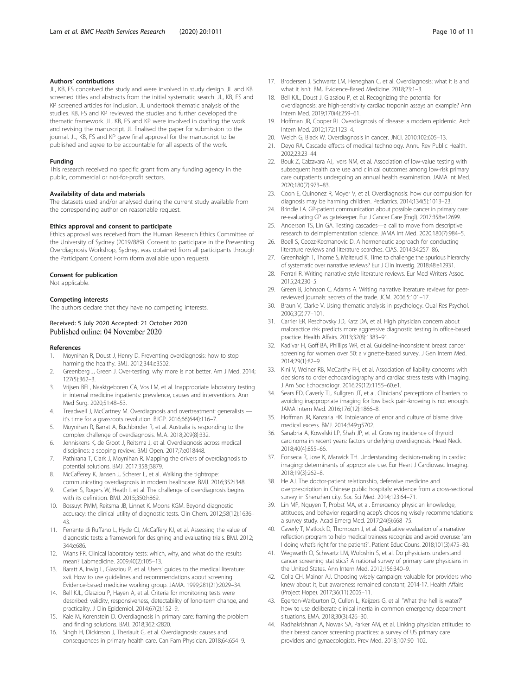#### <span id="page-9-0"></span>Authors' contributions

JL, KB, FS conceived the study and were involved in study design. JL and KB screened titles and abstracts from the initial systematic search. JL, KB, FS and KP screened articles for inclusion. JL undertook thematic analysis of the studies. KB, FS and KP reviewed the studies and further developed the thematic framework. JL, KB, FS and KP were involved in drafting the work and revising the manuscript. JL finalised the paper for submission to the journal. JL, KB, FS and KP gave final approval for the manuscript to be published and agree to be accountable for all aspects of the work.

#### Funding

This research received no specific grant from any funding agency in the public, commercial or not-for-profit sectors.

#### Availability of data and materials

The datasets used and/or analysed during the current study available from the corresponding author on reasonable request.

#### Ethics approval and consent to participate

Ethics approval was received from the Human Research Ethics Committee of the University of Sydney (2019/889). Consent to participate in the Preventing Overdiagnosis Workshop, Sydney, was obtained from all participants through the Participant Consent Form (form available upon request).

#### Consent for publication

Not applicable.

#### Competing interests

The authors declare that they have no competing interests.

#### Received: 5 July 2020 Accepted: 21 October 2020 Published online: 04 November 2020

#### References

- 1. Moynihan R, Doust J, Henry D. Preventing overdiagnosis: how to stop harming the healthy. BMJ. 2012;344:e3502.
- 2. Greenberg J, Green J. Over-testing: why more is not better. Am J Med. 2014; 127(5):362–3.
- 3. Vrijsen BEL, Naaktgeboren CA, Vos LM, et al. Inappropriate laboratory testing in internal medicine inpatients: prevalence, causes and interventions. Ann Med Surg. 2020;51:48–53.
- 4. Treadwell J, McCartney M. Overdiagnosis and overtreatment: generalists it's time for a grassroots revolution. BJGP. 2016;66(644):116–7.
- 5. Moynihan R, Barrat A, Buchbinder R, et al. Australia is responding to the complex challenge of overdiagnosis. MJA. 2018;209(8):332.
- 6. Jenniskens K, de Groot J, Reitsma J, et al. Overdiagnosis across medical disciplines: a scoping review. BMJ Open. 2017;7:e018448.
- 7. Pathirana T, Clark J, Moynihan R. Mapping the drivers of overdiagnosis to potential solutions. BMJ. 2017;358:j3879.
- 8. McCafferey K, Jansen J, Scherer L, et al. Walking the tightrope: communicating overdiagnosis in modern healthcare. BMJ. 2016;352:i348.
- 9. Carter S, Rogers W, Heath I, et al. The challenge of overdiagnosis begins with its definition. BMJ. 2015;350:h869.
- 10. Bossuyt PMM, Reitsma JB, Linnet K, Moons KGM. Beyond diagnostic accuracy: the clinical utility of diagnostic tests. Clin Chem. 2012;58(12):1636– 43.
- 11. Ferrante di Ruffano L, Hyde CJ, McCaffery KJ, et al. Assessing the value of diagnostic tests: a framework for designing and evaluating trials. BMJ. 2012; 344:e686.
- 12. Wians FR. Clinical laboratory tests: which, why, and what do the results mean? Labmedicine. 2009;40(2):105–13.
- 13. Baratt A, Irwig L, Glasziou P, et al. Users' guides to the medical literature: xvii. How to use guidelines and recommendations about screening. Evidence-based medicine working group. JAMA. 1999;281(21):2029–34.
- 14. Bell KJL, Glasziou P, Hayen A, et al. Criteria for monitoring tests were described: validity, responsiveness, detectability of long-term change, and practicality. J Clin Epidemiol. 2014;67(2):152–9.
- 15. Kale M, Korenstein D. Overdiagnosis in primary care: framing the problem and finding solutions. BMJ. 2018;362:k2820.
- 16. Singh H, Dickinson J, Theriault G, et al. Overdiagnosis: causes and consequences in primary health care. Can Fam Physician. 2018;64:654–9.
- 17. Brodersen J, Schwartz LM, Heneghan C, et al. Overdiagnosis: what it is and what it isn't. BMJ Evidence-Based Medicine. 2018;23:1–3.
- 18. Bell KJL, Doust J, Glasziou P, et al. Recognizing the potential for overdiagnosis: are high-sensitivity cardiac troponin assays an example? Ann Intern Med. 2019;170(4):259–61.
- 19. Hoffman JR, Cooper RJ. Overdiagnosis of disease: a modern epidemic. Arch Intern Med. 2012;172:1123–4.
- 20. Welch G, Black W. Overdiagnosis in cancer. JNCI. 2010;102:605–13.
- 21. Deyo RA. Cascade effects of medical technology. Annu Rev Public Health. 2002;23:23–44.
- 22. Bouk Z, Calzavara AJ, Ivers NM, et al. Association of low-value testing with subsequent health care use and clinical outcomes among low-risk primary care outpatients undergoing an annual health examination. JAMA Int Med. 2020;180(7):973–83.
- 23. Coon E, Quinonez R, Moyer V, et al. Overdiagnosis: how our compulsion for diagnosis may be harming children. Pediatrics. 2014;134(5):1013–23.
- 24. Brindle LA. GP-patient communication about possible cancer in primary care: re-evaluating GP as gatekeeper. Eur J Cancer Care (Engl). 2017;358:e12699.
- 25. Anderson TS, Lin GA. Testing cascades—a call to move from descriptive research to deimplementation science. JAMA Int Med. 2020;180(7):984–5.
- 26. Boell S, Cecez-Kecmanovic D. A hermeneutic approach for conducting literature reviews and literature searches. CIAS. 2014;34:257–86.
- 27. Greenhalgh T, Thorne S, Malterud K. Time to challenge the spurious hierarchy of systematic over narrative reviews? Eur J Clin Investig. 2018;48:e12931.
- 28. Ferrari R. Writing narrative style literature reviews. Eur Med Writers Assoc. 2015;24:230–5.
- 29. Green B, Johnson C, Adams A. Writing narrative literature reviews for peerreviewed journals: secrets of the trade. JCM. 2006;5:101–17.
- 30. Braun V, Clarke V. Using thematic analysis in psychology. Qual Res Psychol. 2006;3(2):77–101.
- 31. Carrier ER, Reschovsky JD, Katz DA, et al. High physician concern about malpractice risk predicts more aggressive diagnostic testing in office-based practice. Health Affairs. 2013;32(8):1383–91.
- 32. Kadivar H, Goff BA, Phillips WR, et al. Guideline-inconsistent breast cancer screening for women over 50: a vignette-based survey. J Gen Intern Med. 2014;29(1):82–9.
- 33. Kini V, Weiner RB, McCarthy FH, et al. Association of liability concerns with decisions to order echocardiography and cardiac stress tests with imaging. J Am Soc Echocardiogr. 2016;29(12):1155–60.e1.
- 34. Sears ED, Caverly TJ, Kullgren JT, et al. Clinicians' perceptions of barriers to avoiding inappropriate imaging for low back pain-knowing is not enough. JAMA Intern Med. 2016;176(12):1866–8.
- 35. Hoffman JR, Kanzaria HK. Intolerance of error and culture of blame drive medical excess. BMJ. 2014;349:g5702.
- 36. Sanabria A, Kowalski LP, Shah JP, et al. Growing incidence of thyroid carcinoma in recent years: factors underlying overdiagnosis. Head Neck. 2018;40(4):855–66.
- 37. Fonseca R, Jose K, Marwick TH. Understanding decision-making in cardiac imaging: determinants of appropriate use. Eur Heart J Cardiovasc Imaging. 2018;19(3):262–8.
- 38. He AJ. The doctor-patient relationship, defensive medicine and overprescription in Chinese public hospitals: evidence from a cross-sectional survey in Shenzhen city. Soc Sci Med. 2014;123:64–71.
- 39. Lin MP, Nguyen T, Probst MA, et al. Emergency physician knowledge, attitudes, and behavior regarding acep's choosing wisely recommendations: a survey study. Acad Emerg Med. 2017;24(6):668–75.
- 40. Caverly T, Matlock D, Thompson J, et al. Qualitative evaluation of a narrative reflection program to help medical trainees recognize and avoid overuse: "am I doing what's right for the patient?". Patient Educ Couns. 2018;101(3):475–80.
- 41. Wegwarth O, Schwartz LM, Woloshin S, et al. Do physicians understand cancer screening statistics? A national survey of primary care physicians in the United States. Ann Intern Med. 2012;156:340–9.
- 42. Colla CH, Mainor AJ. Choosing wisely campaign: valuable for providers who knew about it, but awareness remained constant, 2014-17. Health Affairs (Project Hope). 2017;36(11):2005–11.
- 43. Egerton-Warburton D, Cullen L, Keijzers G, et al. 'What the hell is water?' how to use deliberate clinical inertia in common emergency department situations. EMA. 2018;30(3):426–30.
- 44. Radhakrishnan A, Nowak SA, Parker AM, et al. Linking physician attitudes to their breast cancer screening practices: a survey of US primary care providers and gynaecologists. Prev Med. 2018;107:90–102.